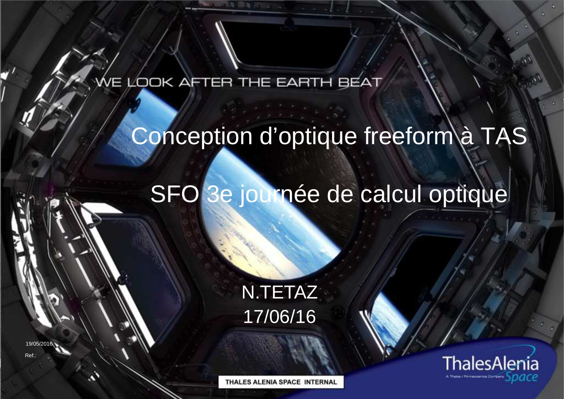#### VE LOOK AFTER THE EARTH BEAT

# Conception d'optique freeform à TAS

# SFO 3e journée de calcul optique

N.TETAZ17/06/16

19/05/2016

Ref.:

THALES ALENIA SPACE INTERNAL

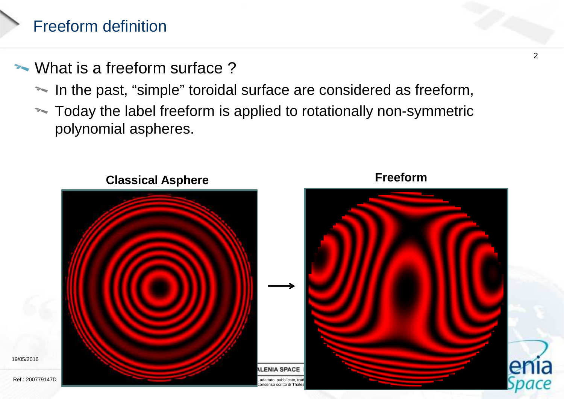# Freeform definition

19/05/2016

- What is a freeform surface ?
	- In the past, "simple" toroidal surface are considered as freeform,
	- \*\* Today the label freeform is applied to rotationally non-symmetric polynomial aspheres.

**Freeform**



**Classical Asphere**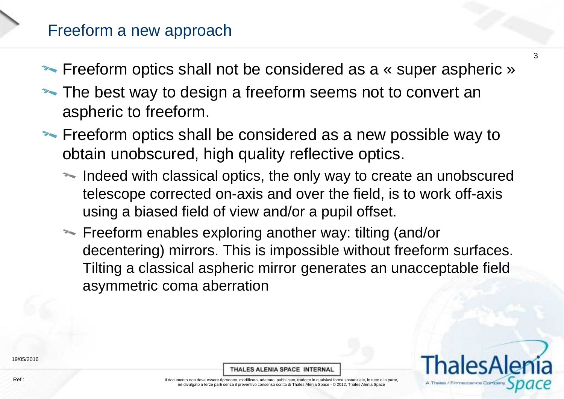#### Freeform a new approach

- **Freeform optics shall not be considered as a « super aspheric »**
- The best way to design a freeform seems not to convert an aspheric to freeform.
- **Figure 1.5 Freeform optics shall be considered as a new possible way to verturally** obtain unobscured, high quality reflective optics.
	- Indeed with classical optics, the only way to create an unobscured telescope corrected on-axis and over the field, is to work off-axis using a biased field of view and/or a pupil offset.
	- Freeform enables exploring another way: tilting (and/or decentering) mirrors. This is impossible without freeform surfaces. Tilting a classical aspheric mirror generates an unacceptable field asymmetric coma aberration

THALES ALENIA SPACE INTERNAL



3

19/05/2016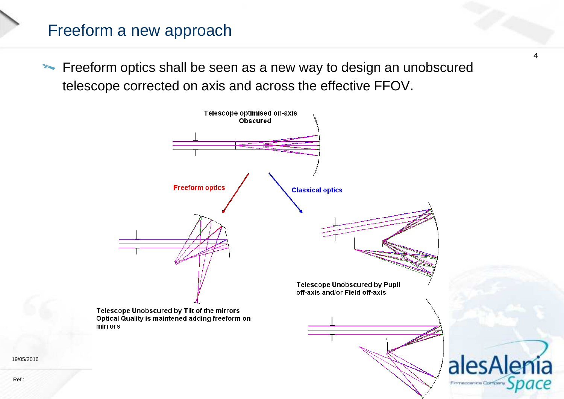### Freeform a new approach

Freeform optics shall be seen as a new way to design an unobscured telescope corrected on axis and across the effective FFOV.



4

19/05/2016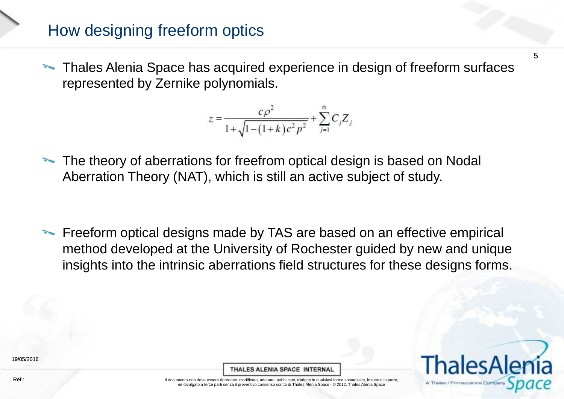### How designing freeform optics

**Thales Alenia Space has acquired experience in design of freeform surfaces** represented by Zernike polynomials.

$$
z = \frac{c\rho^2}{1 + \sqrt{1 - (1 + k)c^2 p^2}} + \sum_{j=1}^{n} C_j Z_j
$$

The theory of aberrations for freefrom optical design is based on Nodal<br>Aberration Theory (NAT), which is still an active subject of study Aberration Theory (NAT), which is still an active subject of study.

Freeform optical designs made by TAS are based on an effective empirical method developed at the University of Rochester guided by new and unique insights into the intrinsic aberrations field structures for these designs forms.

19/05/2016

THALES ALENIA SPACE INTERNAL



5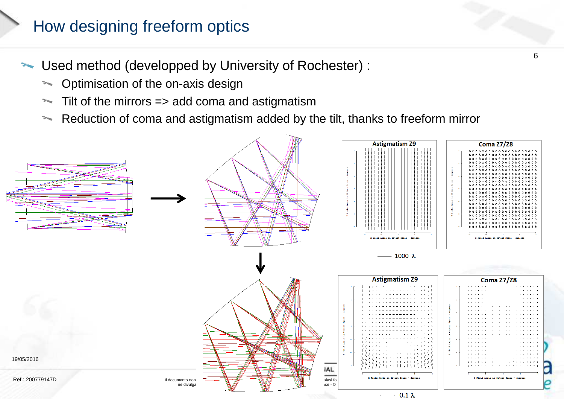### How designing freeform optics

Used method (developped by University of Rochester) :

- \* Optimisation of the on-axis design
- Tilt of the mirrors => add coma and astigmatism $\overline{\mathcal{L}}$
- $\mathcal{L}_{\mathcal{F}_{\mathcal{M}}}$ Reduction of coma and astigmatism added by the tilt, thanks to freeform mirror



6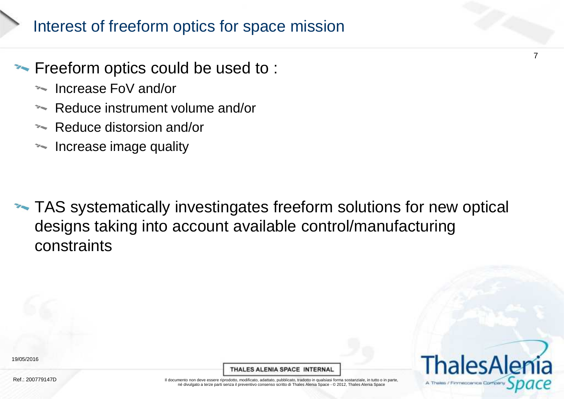# Interest of freeform optics for space mission

#### **Freeform optics could be used to:**

- Increase FoV and/or
- Reduce instrument volume and/or
- **Reduce distorsion and/or**
- **Increase image quality**

**TAS** systematically investingates freeform solutions for new optical designs taking into account available control/manufacturingconstraints

Ref.: 200779147D

THALES ALENIA SPACE INTERNAL



7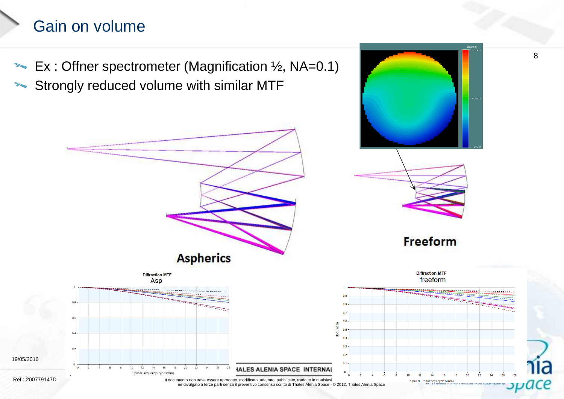## Gain on volume

Ex : Offner spectrometer (Magnification  $\frac{1}{2}$ , NA=0.1) **Strongly reduced volume with similar MTF** 

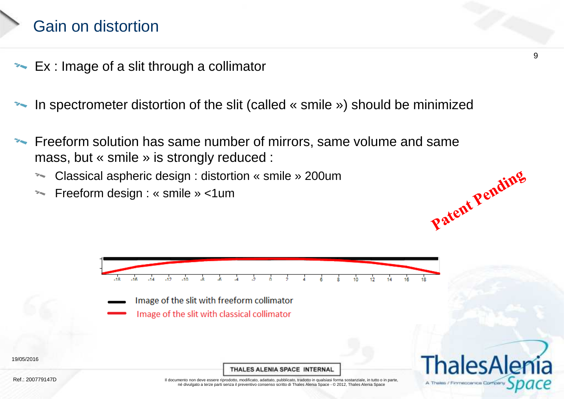## Gain on distortion

- Ex : Image of a slit through a collimator
- In spectrometer distortion of the slit (called « smile ») should be minimized
- Freeform solution has same number of mirrors, same volume and same<br>mass\_but « smile » is strepaly reduced : mass, but « smile » is strongly reduced : Patent Pending
	- Classical aspheric design : distortion « smile » 200um
	- **Example 3 Freeform design : « smile » <1um**



- Image of the slit with freeform collimator
	- Image of the slit with classical collimator

THALES ALENIA SPACE INTERNAL



Ref.: 200779147D

19/05/2016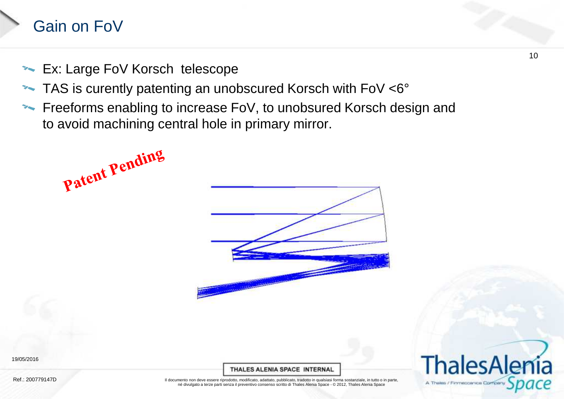## Gain on FoV

**Ex: Large FoV Korsch telescope** 

Patent Pending

- TAS is curently patenting an unobscured Korsch with FoV <6°**TEMPERA**
- Freeforms enabling to increase FoV, to unobsured Korsch design and to avoid machining central hole in primary mirror.



19/05/2016

THALES ALENIA SPACE INTERNAL



Ref.: 200779147D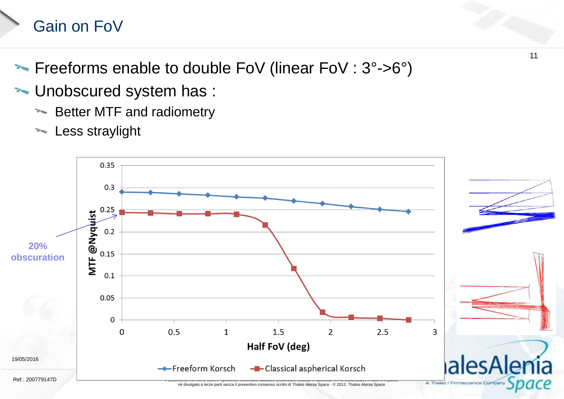# Gain on FoV

- **Freeforms enable to double FoV (linear FoV : 3°->6°)**
- **WALU DEPERITED STANDARY STANDARY STANDARY STANDARY STANDARY STANDARY STANDARY STANDARY STANDARY STANDARY STANDARY STANDARY STANDARY STANDARY STANDARY STANDARY STANDARY STANDARY STANDARY STANDARY STANDARY STANDARY STANDARY** 
	- Setter MTF and radiometry
	- **Example Straylight**



11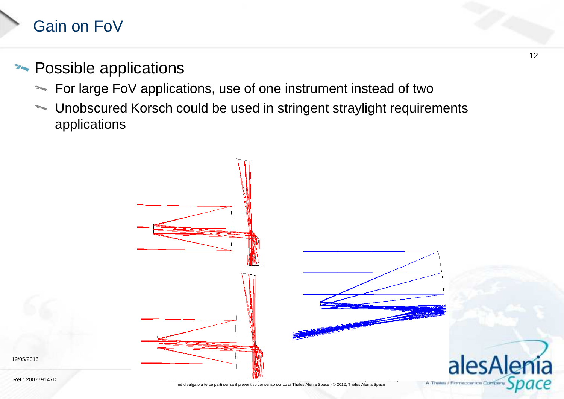## Gain on FoV

### **Example 2-3 Possible applications**

- For large FoV applications, use of one instrument instead of two
- Unobscured Korsch could be used in stringent straylight requirementsapplications

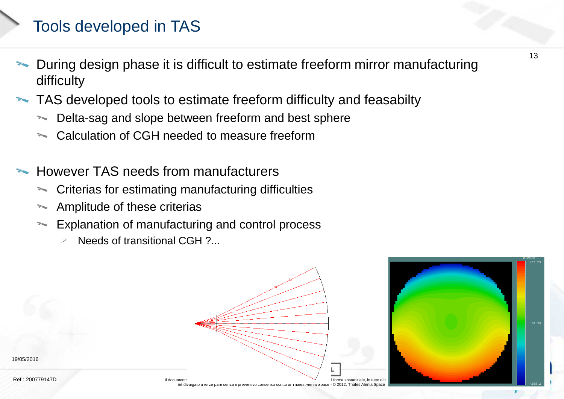## Tools developed in TAS

- During design phase it is difficult to estimate freeform mirror manufacturing<br>difficulty difficulty
- TAS developed tools to estimate freeform difficulty and feasabilty
	- **Delta-sag and slope between freeform and best sphere**
	- Calculation of CGH needed to measure freeform
- However TAS needs from manufacturers
	- \*\* Criterias for estimating manufacturing difficulties
	- **Amplitude of these criterias**
	- **Explanation of manufacturing and control process** 
		- Needs of transitional CGH ?...  $\overline{\mathcal{L}}$